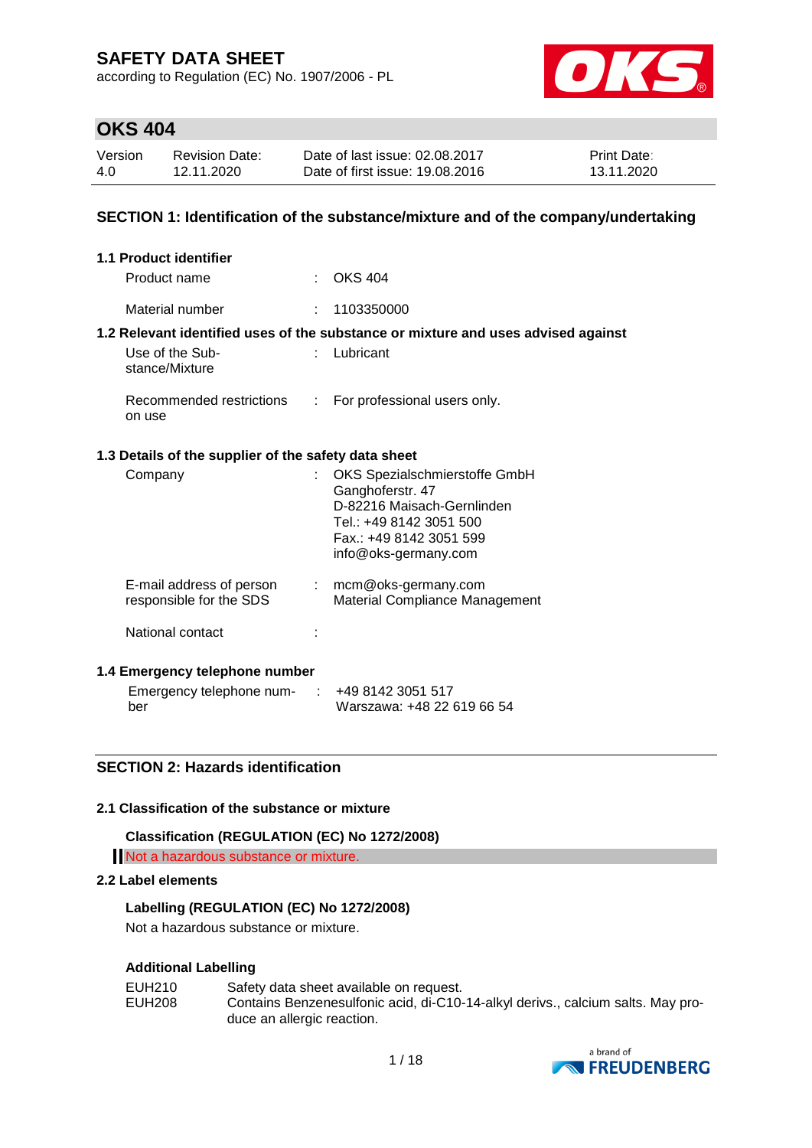according to Regulation (EC) No. 1907/2006 - PL



### **OKS 404**

| Version | <b>Revision Date:</b> | Date of last issue: 02.08.2017  | <b>Print Date:</b> |
|---------|-----------------------|---------------------------------|--------------------|
| 4.0     | 12.11.2020            | Date of first issue: 19,08,2016 | 13.11.2020         |

#### **SECTION 1: Identification of the substance/mixture and of the company/undertaking**

| 1.1 Product identifier                               |                    |                                                                                                                                                               |  |  |  |  |
|------------------------------------------------------|--------------------|---------------------------------------------------------------------------------------------------------------------------------------------------------------|--|--|--|--|
| Product name                                         |                    | $\therefore$ OKS 404                                                                                                                                          |  |  |  |  |
| Material number                                      |                    | 1103350000                                                                                                                                                    |  |  |  |  |
|                                                      |                    | 1.2 Relevant identified uses of the substance or mixture and uses advised against                                                                             |  |  |  |  |
| Use of the Sub-<br>stance/Mixture                    |                    | Lubricant                                                                                                                                                     |  |  |  |  |
| Recommended restrictions<br>on use                   | $\mathbb{Z}^{n-1}$ | For professional users only.                                                                                                                                  |  |  |  |  |
| 1.3 Details of the supplier of the safety data sheet |                    |                                                                                                                                                               |  |  |  |  |
| Company                                              |                    | OKS Spezialschmierstoffe GmbH<br>Ganghoferstr. 47<br>D-82216 Maisach-Gernlinden<br>Tel.: +49 8142 3051 500<br>Fax.: +49 8142 3051 599<br>info@oks-germany.com |  |  |  |  |
| E-mail address of person<br>responsible for the SDS  |                    | $:$ mcm@oks-germany.com<br>Material Compliance Management                                                                                                     |  |  |  |  |
| National contact                                     |                    |                                                                                                                                                               |  |  |  |  |
| 1.4 Emergency telephone number                       |                    |                                                                                                                                                               |  |  |  |  |

| Emergency telephone num- | ∴ +49 8142 3051 517        |
|--------------------------|----------------------------|
| ber                      | Warszawa: +48 22 619 66 54 |

### **SECTION 2: Hazards identification**

#### **2.1 Classification of the substance or mixture**

**Classification (REGULATION (EC) No 1272/2008)**

Not a hazardous substance or mixture.

#### **2.2 Label elements**

#### **Labelling (REGULATION (EC) No 1272/2008)**

Not a hazardous substance or mixture.

#### **Additional Labelling**

| EUH210 | Safety data sheet available on request.                                         |
|--------|---------------------------------------------------------------------------------|
| EUH208 | Contains Benzenesulfonic acid, di-C10-14-alkyl derivs., calcium salts. May pro- |
|        | duce an allergic reaction.                                                      |

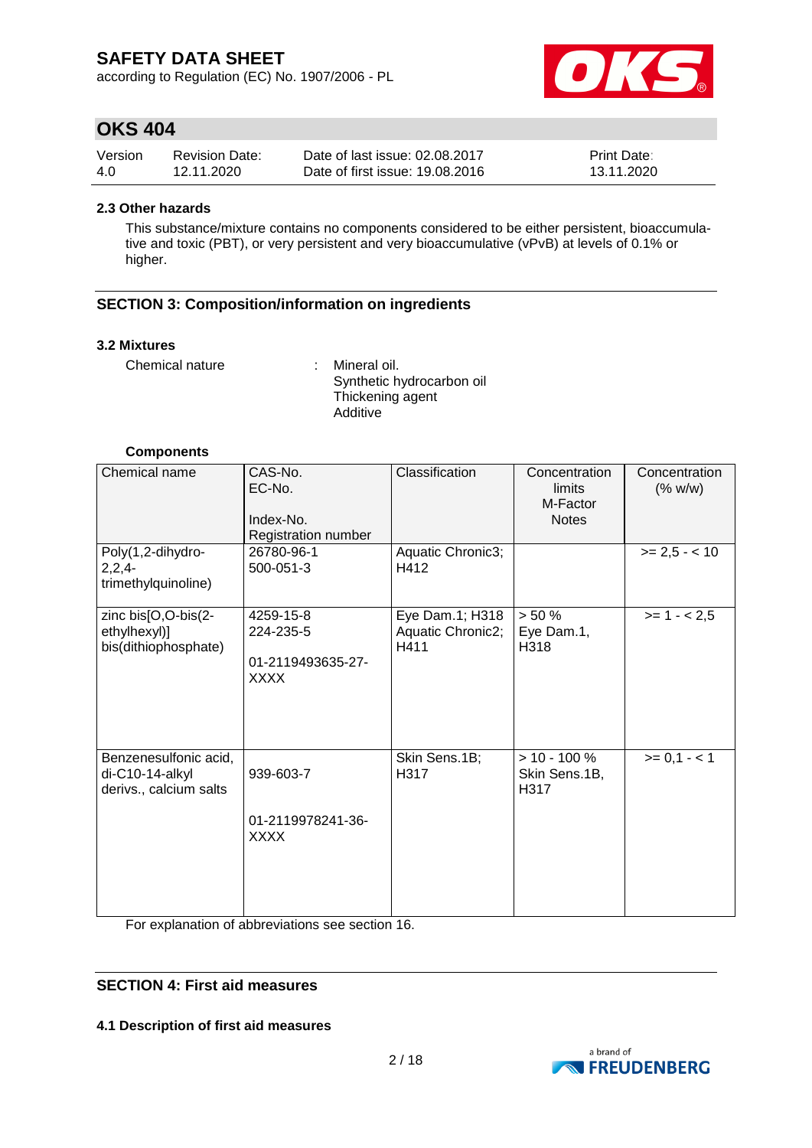according to Regulation (EC) No. 1907/2006 - PL



### **OKS 404**

| Version | <b>Revision Date:</b> | Date of last issue: 02.08.2017  | <b>Print Date:</b> |
|---------|-----------------------|---------------------------------|--------------------|
| 4.0     | 12.11.2020            | Date of first issue: 19.08.2016 | 13.11.2020         |

#### **2.3 Other hazards**

This substance/mixture contains no components considered to be either persistent, bioaccumulative and toxic (PBT), or very persistent and very bioaccumulative (vPvB) at levels of 0.1% or higher.

### **SECTION 3: Composition/information on ingredients**

#### **3.2 Mixtures**

Chemical nature : Mineral oil.

Synthetic hydrocarbon oil Thickening agent Additive

#### **Components**

| Chemical name                                                      | CAS-No.<br>EC-No.<br>Index-No.<br>Registration number      | Classification                               | Concentration<br>limits<br>M-Factor<br><b>Notes</b> | Concentration<br>(% w/w) |
|--------------------------------------------------------------------|------------------------------------------------------------|----------------------------------------------|-----------------------------------------------------|--------------------------|
| Poly(1,2-dihydro-<br>$2,2,4-$<br>trimethylquinoline)               | 26780-96-1<br>500-051-3                                    | Aquatic Chronic3;<br>H412                    |                                                     | $>= 2.5 - < 10$          |
| zinc bis[O,O-bis(2-<br>ethylhexyl)]<br>bis(dithiophosphate)        | 4259-15-8<br>224-235-5<br>01-2119493635-27-<br><b>XXXX</b> | Eye Dam.1; H318<br>Aquatic Chronic2;<br>H411 | > 50%<br>Eye Dam.1,<br>H318                         | $>= 1 - 2.5$             |
| Benzenesulfonic acid,<br>di-C10-14-alkyl<br>derivs., calcium salts | 939-603-7<br>01-2119978241-36-<br><b>XXXX</b>              | Skin Sens.1B;<br>H317                        | $> 10 - 100 \%$<br>Skin Sens.1B,<br>H317            | $>= 0,1 - 1$             |

For explanation of abbreviations see section 16.

### **SECTION 4: First aid measures**

**4.1 Description of first aid measures**

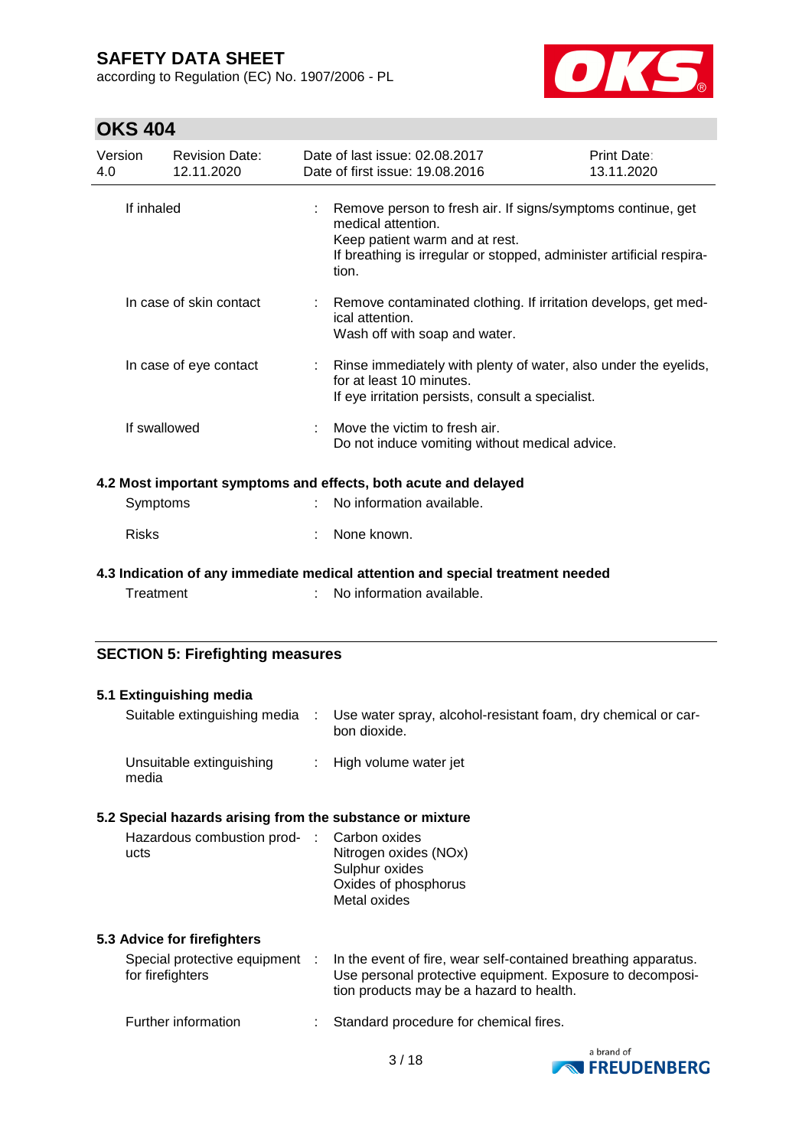according to Regulation (EC) No. 1907/2006 - PL



| Version<br>4.0 | <b>Revision Date:</b><br>12.11.2020     |    | Date of last issue: 02.08.2017<br>Date of first issue: 19.08.2016                                                                                                                                    | Print Date:<br>13.11.2020 |
|----------------|-----------------------------------------|----|------------------------------------------------------------------------------------------------------------------------------------------------------------------------------------------------------|---------------------------|
|                | If inhaled                              | ÷. | Remove person to fresh air. If signs/symptoms continue, get<br>medical attention.<br>Keep patient warm and at rest.<br>If breathing is irregular or stopped, administer artificial respira-<br>tion. |                           |
|                | In case of skin contact                 |    | Remove contaminated clothing. If irritation develops, get med-<br>ical attention.<br>Wash off with soap and water.                                                                                   |                           |
|                | In case of eye contact                  |    | : Rinse immediately with plenty of water, also under the eyelids,<br>for at least 10 minutes.<br>If eye irritation persists, consult a specialist.                                                   |                           |
|                | If swallowed                            |    | Move the victim to fresh air.<br>Do not induce vomiting without medical advice.                                                                                                                      |                           |
|                |                                         |    | 4.2 Most important symptoms and effects, both acute and delayed                                                                                                                                      |                           |
|                | Symptoms                                |    | No information available.                                                                                                                                                                            |                           |
| <b>Risks</b>   |                                         |    | None known.                                                                                                                                                                                          |                           |
|                |                                         |    | 4.3 Indication of any immediate medical attention and special treatment needed                                                                                                                       |                           |
|                | Treatment                               |    | No information available.                                                                                                                                                                            |                           |
|                | <b>SECTION 5: Firefighting measures</b> |    |                                                                                                                                                                                                      |                           |

| 5.1 Extinguishing media                                   |                                                                                                                                                                         |
|-----------------------------------------------------------|-------------------------------------------------------------------------------------------------------------------------------------------------------------------------|
| Suitable extinguishing media :                            | Use water spray, alcohol-resistant foam, dry chemical or car-<br>bon dioxide.                                                                                           |
| Unsuitable extinguishing<br>media                         | : High volume water jet                                                                                                                                                 |
| 5.2 Special hazards arising from the substance or mixture |                                                                                                                                                                         |
| Hazardous combustion prod- : Carbon oxides<br>ucts        | Nitrogen oxides (NOx)<br>Sulphur oxides<br>Oxides of phosphorus<br>Metal oxides                                                                                         |
| 5.3 Advice for firefighters                               |                                                                                                                                                                         |
| Special protective equipment :<br>for firefighters        | In the event of fire, wear self-contained breathing apparatus.<br>Use personal protective equipment. Exposure to decomposi-<br>tion products may be a hazard to health. |
| Further information                                       | Standard procedure for chemical fires.                                                                                                                                  |

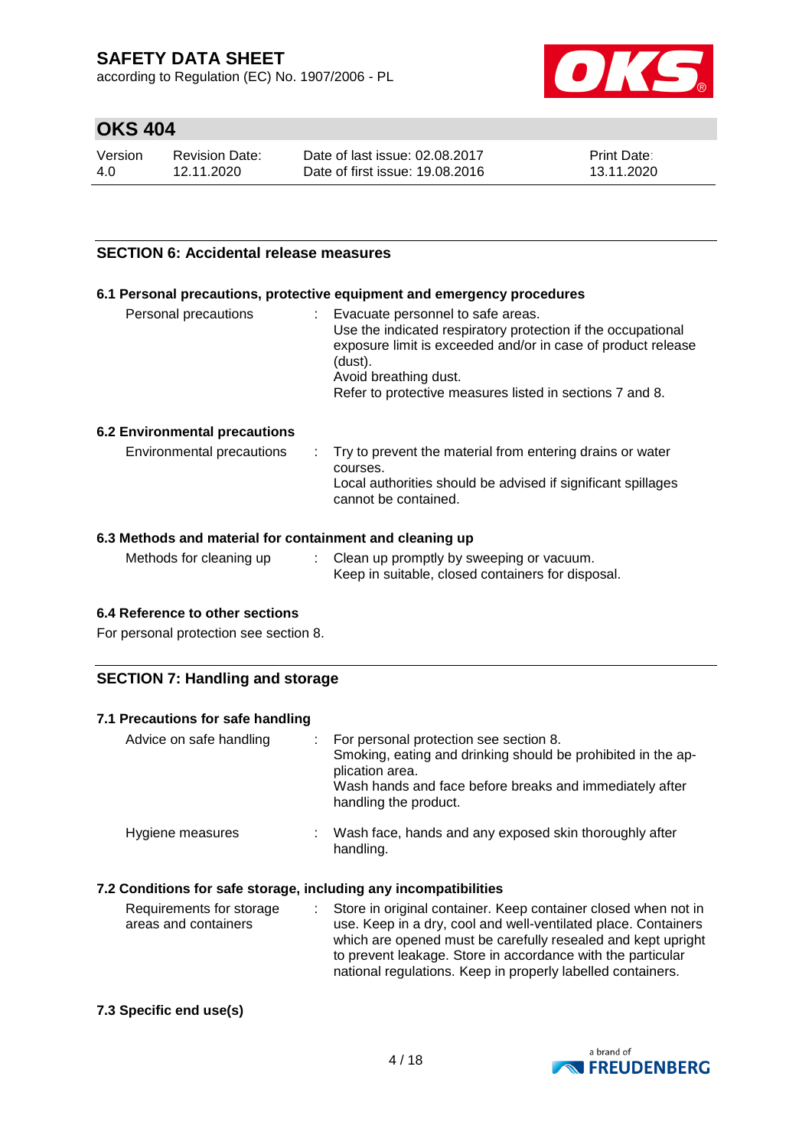according to Regulation (EC) No. 1907/2006 - PL



### **OKS 404**

| Version | <b>Revision Date:</b> | Date of last issue: 02.08.2017  | <b>Print Date:</b> |
|---------|-----------------------|---------------------------------|--------------------|
| 4.0     | 12.11.2020            | Date of first issue: 19,08,2016 | 13.11.2020         |

#### **SECTION 6: Accidental release measures**

#### **6.1 Personal precautions, protective equipment and emergency procedures**

| Personal precautions | t. | Evacuate personnel to safe areas.<br>Use the indicated respiratory protection if the occupational<br>exposure limit is exceeded and/or in case of product release<br>(dust).<br>Avoid breathing dust.<br>Refer to protective measures listed in sections 7 and 8. |
|----------------------|----|-------------------------------------------------------------------------------------------------------------------------------------------------------------------------------------------------------------------------------------------------------------------|
|                      |    |                                                                                                                                                                                                                                                                   |

#### **6.2 Environmental precautions**

| Environmental precautions | . Try to prevent the material from entering drains or water<br>courses.<br>Local authorities should be advised if significant spillages<br>cannot be contained. |
|---------------------------|-----------------------------------------------------------------------------------------------------------------------------------------------------------------|
|---------------------------|-----------------------------------------------------------------------------------------------------------------------------------------------------------------|

#### **6.3 Methods and material for containment and cleaning up**

| Methods for cleaning up<br>Clean up promptly by sweeping or vacuum.<br>Keep in suitable, closed containers for disposal. |  |
|--------------------------------------------------------------------------------------------------------------------------|--|
|--------------------------------------------------------------------------------------------------------------------------|--|

#### **6.4 Reference to other sections**

For personal protection see section 8.

### **SECTION 7: Handling and storage**

| 7.1 Precautions for safe handling |                                                                                                                                                                                                                 |
|-----------------------------------|-----------------------------------------------------------------------------------------------------------------------------------------------------------------------------------------------------------------|
| Advice on safe handling           | : For personal protection see section 8.<br>Smoking, eating and drinking should be prohibited in the ap-<br>plication area.<br>Wash hands and face before breaks and immediately after<br>handling the product. |
| Hygiene measures                  | Wash face, hands and any exposed skin thoroughly after<br>handling.                                                                                                                                             |

### **7.2 Conditions for safe storage, including any incompatibilities**

| Requirements for storage | : Store in original container. Keep container closed when not in |
|--------------------------|------------------------------------------------------------------|
| areas and containers     | use. Keep in a dry, cool and well-ventilated place. Containers   |
|                          | which are opened must be carefully resealed and kept upright     |
|                          | to prevent leakage. Store in accordance with the particular      |
|                          | national regulations. Keep in properly labelled containers.      |

#### **7.3 Specific end use(s)**

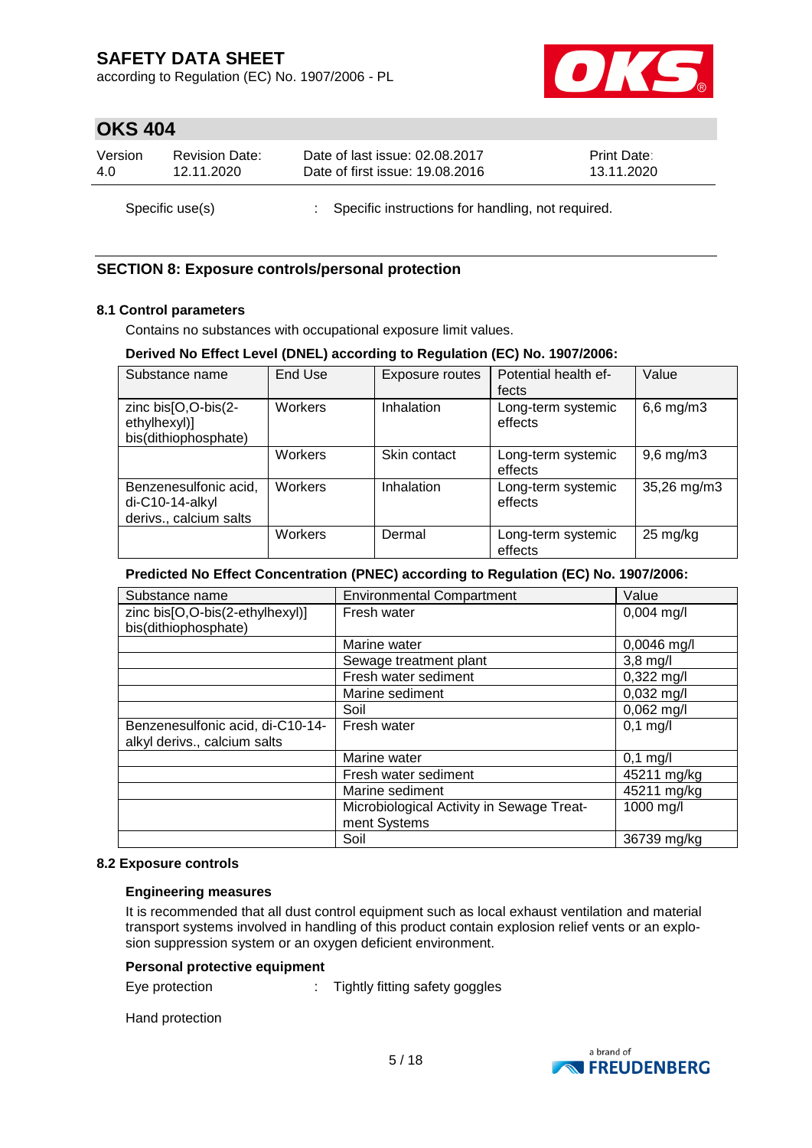according to Regulation (EC) No. 1907/2006 - PL



### **OKS 404**

| Version | <b>Revision Date:</b> | Date of last issue: 02.08.2017                      | <b>Print Date:</b> |
|---------|-----------------------|-----------------------------------------------------|--------------------|
| 4.0     | 12.11.2020            | Date of first issue: 19.08.2016                     | 13.11.2020         |
|         | Specific use(s)       | : Specific instructions for handling, not required. |                    |

### **SECTION 8: Exposure controls/personal protection**

#### **8.1 Control parameters**

Contains no substances with occupational exposure limit values.

#### **Derived No Effect Level (DNEL) according to Regulation (EC) No. 1907/2006:**

| Substance name                                                       | End Use | <b>Exposure routes</b> | Potential health ef-<br>fects | Value              |
|----------------------------------------------------------------------|---------|------------------------|-------------------------------|--------------------|
| zinc bis[O,O-bis(2-<br>ethylhexyl)]<br>bis(dithiophosphate)          | Workers | Inhalation             | Long-term systemic<br>effects | $6,6$ mg/m $3$     |
|                                                                      | Workers | Skin contact           | Long-term systemic<br>effects | $9,6$ mg/m $3$     |
| Benzenesulfonic acid,<br>$di-C10-14-alkyl$<br>derivs., calcium salts | Workers | Inhalation             | Long-term systemic<br>effects | 35,26 mg/m3        |
|                                                                      | Workers | Dermal                 | Long-term systemic<br>effects | $25 \text{ mg/kg}$ |

#### **Predicted No Effect Concentration (PNEC) according to Regulation (EC) No. 1907/2006:**

| Substance name                   | <b>Environmental Compartment</b>          | Value                |
|----------------------------------|-------------------------------------------|----------------------|
| zinc bis[O,O-bis(2-ethylhexyl)]  | Fresh water                               | $0,004$ mg/l         |
| bis(dithiophosphate)             |                                           |                      |
|                                  | Marine water                              | $0,0046$ mg/l        |
|                                  | Sewage treatment plant                    | $3,8 \text{ mg/l}$   |
|                                  | Fresh water sediment                      | $0,322 \text{ mg/l}$ |
|                                  | Marine sediment                           | $0,032$ mg/l         |
|                                  | Soil                                      | $0,062$ mg/l         |
| Benzenesulfonic acid, di-C10-14- | Fresh water                               | $0,1$ mg/l           |
| alkyl derivs., calcium salts     |                                           |                      |
|                                  | Marine water                              | $0,1$ mg/l           |
|                                  | Fresh water sediment                      | 45211 mg/kg          |
|                                  | Marine sediment                           | 45211 mg/kg          |
|                                  | Microbiological Activity in Sewage Treat- | 1000 mg/l            |
|                                  | ment Systems                              |                      |
|                                  | Soil                                      | 36739 mg/kg          |

#### **8.2 Exposure controls**

#### **Engineering measures**

It is recommended that all dust control equipment such as local exhaust ventilation and material transport systems involved in handling of this product contain explosion relief vents or an explosion suppression system or an oxygen deficient environment.

#### **Personal protective equipment**

Eye protection : Tightly fitting safety goggles

Hand protection

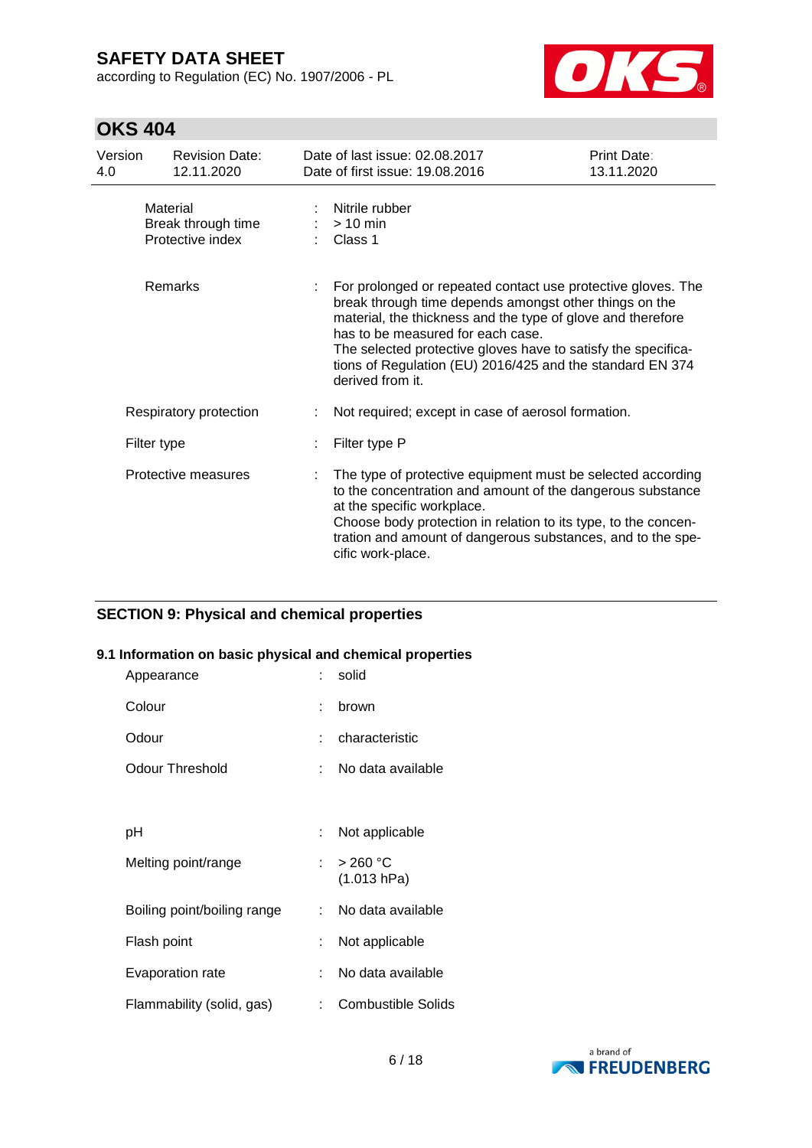according to Regulation (EC) No. 1907/2006 - PL



# **OKS 404**

| Version<br>4.0 | <b>Revision Date:</b><br>12.11.2020                | Date of last issue: 02.08.2017<br>Date of first issue: 19.08.2016                                                                                                                                                                                                                                                                                                            | Print Date:<br>13.11.2020 |
|----------------|----------------------------------------------------|------------------------------------------------------------------------------------------------------------------------------------------------------------------------------------------------------------------------------------------------------------------------------------------------------------------------------------------------------------------------------|---------------------------|
|                | Material<br>Break through time<br>Protective index | Nitrile rubber<br>$>10$ min<br>Class 1                                                                                                                                                                                                                                                                                                                                       |                           |
|                | Remarks                                            | For prolonged or repeated contact use protective gloves. The<br>break through time depends amongst other things on the<br>material, the thickness and the type of glove and therefore<br>has to be measured for each case.<br>The selected protective gloves have to satisfy the specifica-<br>tions of Regulation (EU) 2016/425 and the standard EN 374<br>derived from it. |                           |
|                | Respiratory protection                             | Not required; except in case of aerosol formation.                                                                                                                                                                                                                                                                                                                           |                           |
|                | Filter type                                        | Filter type P                                                                                                                                                                                                                                                                                                                                                                |                           |
|                | Protective measures                                | The type of protective equipment must be selected according<br>to the concentration and amount of the dangerous substance<br>at the specific workplace.<br>Choose body protection in relation to its type, to the concen-<br>tration and amount of dangerous substances, and to the spe-<br>cific work-place.                                                                |                           |

### **SECTION 9: Physical and chemical properties**

#### **9.1 Information on basic physical and chemical properties**

| Appearance                  |          | solid                     |
|-----------------------------|----------|---------------------------|
| Colour                      |          | brown                     |
| Odour                       |          | characteristic            |
| Odour Threshold             |          | No data available         |
|                             |          |                           |
| рH                          |          | Not applicable            |
| Melting point/range         | t.       | >260 °C<br>(1.013 hPa)    |
| Boiling point/boiling range | <b>C</b> | No data available         |
| Flash point                 |          | Not applicable            |
| Evaporation rate            | ÷        | No data available         |
| Flammability (solid, gas)   |          | <b>Combustible Solids</b> |

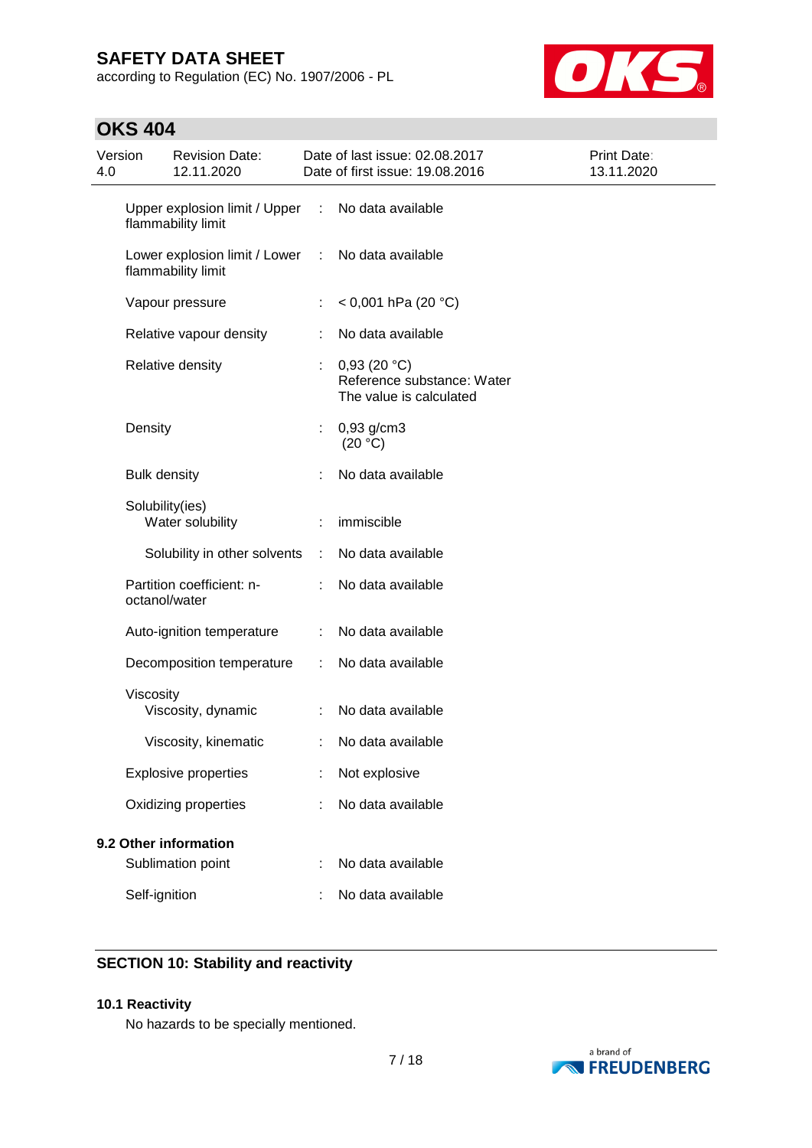according to Regulation (EC) No. 1907/2006 - PL



# **OKS 404**

| Version<br>4.0 |                     | <b>Revision Date:</b><br>12.11.2020                 |   | Date of last issue: 02.08.2017<br>Date of first issue: 19.08.2016    | <b>Print Date:</b><br>13.11.2020 |
|----------------|---------------------|-----------------------------------------------------|---|----------------------------------------------------------------------|----------------------------------|
|                |                     | Upper explosion limit / Upper<br>flammability limit | ÷ | No data available                                                    |                                  |
|                |                     | Lower explosion limit / Lower<br>flammability limit | ÷ | No data available                                                    |                                  |
|                |                     | Vapour pressure                                     | ÷ | $< 0,001$ hPa (20 °C)                                                |                                  |
|                |                     | Relative vapour density                             |   | No data available                                                    |                                  |
|                |                     | Relative density                                    |   | 0,93(20 °C)<br>Reference substance: Water<br>The value is calculated |                                  |
|                | Density             |                                                     | t | $0,93$ g/cm3<br>(20 °C)                                              |                                  |
|                | <b>Bulk density</b> |                                                     |   | No data available                                                    |                                  |
|                | Solubility(ies)     | Water solubility                                    |   | immiscible                                                           |                                  |
|                |                     | Solubility in other solvents                        | ÷ | No data available                                                    |                                  |
|                | octanol/water       | Partition coefficient: n-                           |   | No data available                                                    |                                  |
|                |                     | Auto-ignition temperature                           |   | No data available                                                    |                                  |
|                |                     | Decomposition temperature                           | ÷ | No data available                                                    |                                  |
|                | Viscosity           | Viscosity, dynamic                                  |   | No data available                                                    |                                  |
|                |                     | Viscosity, kinematic                                |   | No data available                                                    |                                  |
|                |                     | <b>Explosive properties</b>                         |   | Not explosive                                                        |                                  |
|                |                     | Oxidizing properties                                |   | No data available                                                    |                                  |
|                |                     | 9.2 Other information                               |   |                                                                      |                                  |
|                |                     | Sublimation point                                   |   | No data available                                                    |                                  |
|                | Self-ignition       |                                                     |   | No data available                                                    |                                  |

### **SECTION 10: Stability and reactivity**

#### **10.1 Reactivity**

No hazards to be specially mentioned.

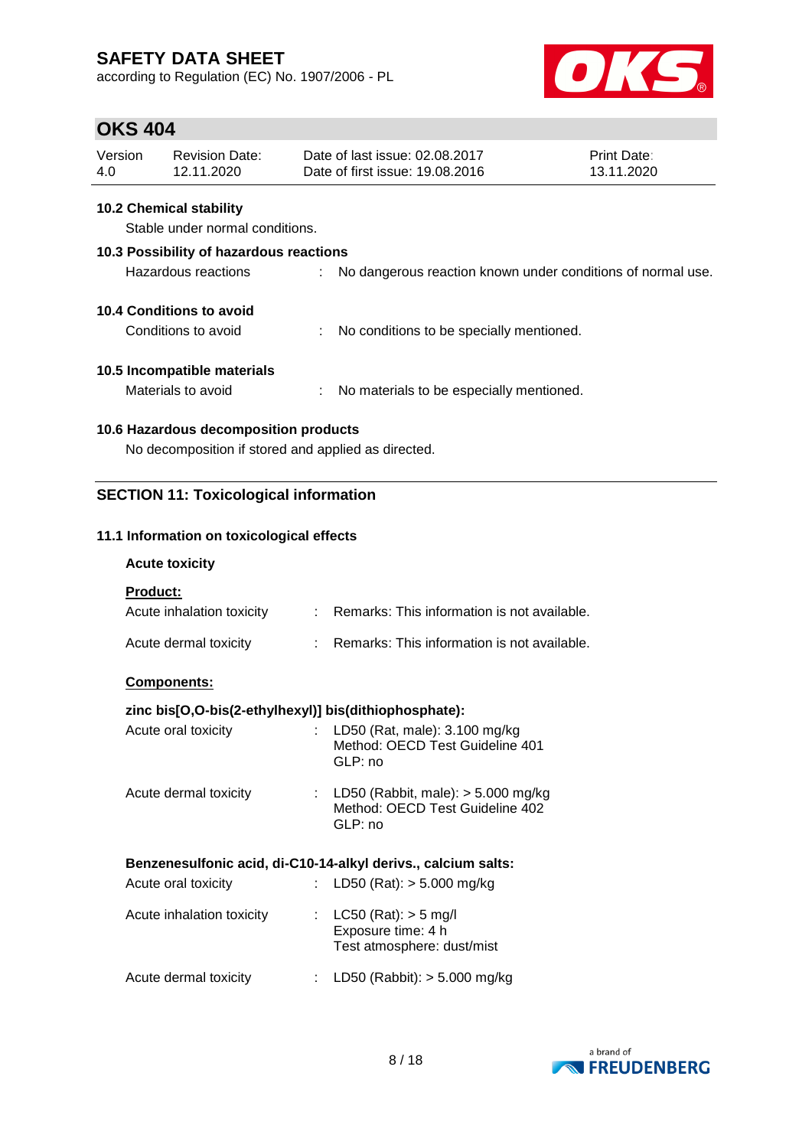according to Regulation (EC) No. 1907/2006 - PL



### **OKS 404**

| Version | Revision Date: | Date of last issue: 02.08.2017  | <b>Print Date:</b> |
|---------|----------------|---------------------------------|--------------------|
| 4.0     | 12.11.2020     | Date of first issue: 19,08,2016 | 13.11.2020         |

#### **10.2 Chemical stability**

Stable under normal conditions.

# **10.3 Possibility of hazardous reactions** Hazardous reactions : No dangerous reaction known under conditions of normal use. **10.4 Conditions to avoid**

| Conditions to avoid |  | No conditions to be specially mentioned. |
|---------------------|--|------------------------------------------|
|---------------------|--|------------------------------------------|

### **10.5 Incompatible materials**

Materials to avoid : No materials to be especially mentioned.

### **10.6 Hazardous decomposition products**

No decomposition if stored and applied as directed.

### **SECTION 11: Toxicological information**

#### **11.1 Information on toxicological effects**

#### **Acute toxicity**

**Product:**

| Acute inhalation toxicity | : Remarks: This information is not available. |
|---------------------------|-----------------------------------------------|
| Acute dermal toxicity     | Remarks: This information is not available.   |

#### **Components:**

### **zinc bis[O,O-bis(2-ethylhexyl)] bis(dithiophosphate):**

| Acute oral toxicity   | : LD50 (Rat, male): $3.100$ mg/kg<br>Method: OECD Test Guideline 401<br>GLP: no      |
|-----------------------|--------------------------------------------------------------------------------------|
| Acute dermal toxicity | : LD50 (Rabbit, male): $> 5.000$ mg/kg<br>Method: OECD Test Guideline 402<br>GLP: no |

#### **Benzenesulfonic acid, di-C10-14-alkyl derivs., calcium salts:**

| Acute oral toxicity       | : LD50 (Rat): $>$ 5.000 mg/kg                                                  |
|---------------------------|--------------------------------------------------------------------------------|
| Acute inhalation toxicity | : $LC50$ (Rat): $> 5$ mg/l<br>Exposure time: 4 h<br>Test atmosphere: dust/mist |
| Acute dermal toxicity     | LD50 (Rabbit): > 5.000 mg/kg                                                   |

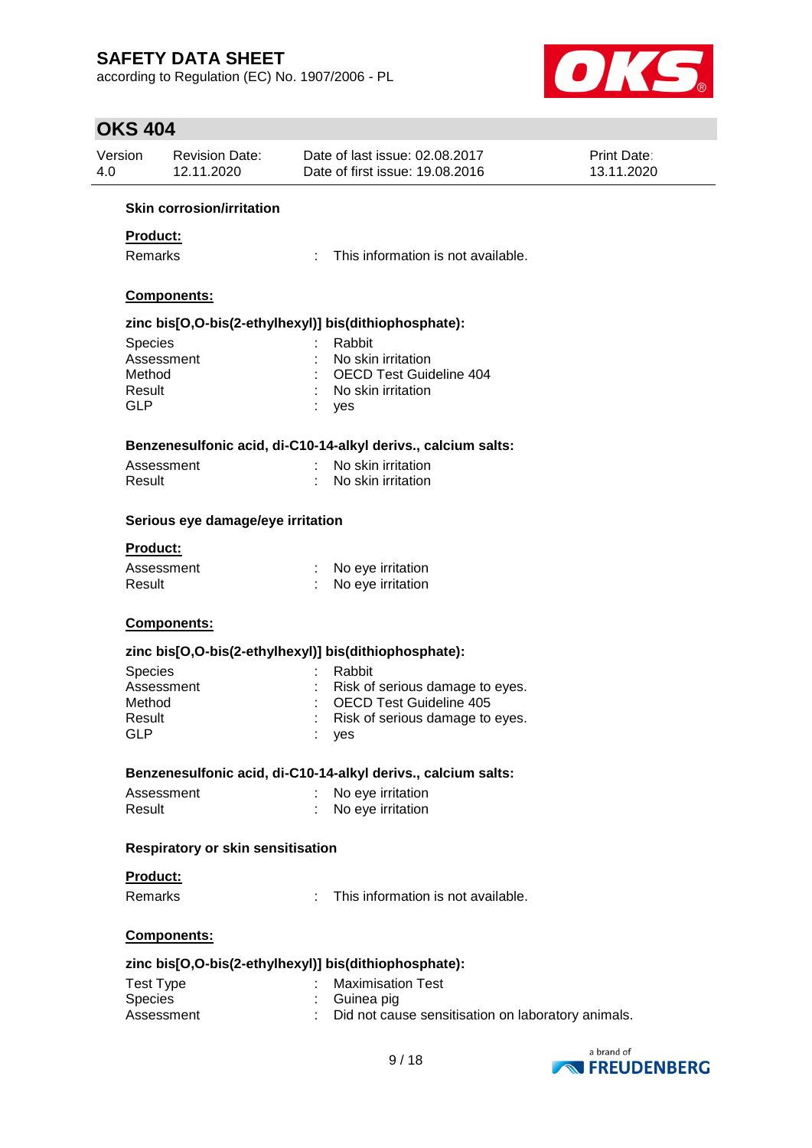according to Regulation (EC) No. 1907/2006 - PL



| Version<br>4.0 | <b>Revision Date:</b><br>12.11.2020      |    | Date of last issue: 02.08.2017<br>Date of first issue: 19.08.2016 | <b>Print Date:</b><br>13.11.2020 |
|----------------|------------------------------------------|----|-------------------------------------------------------------------|----------------------------------|
|                | <b>Skin corrosion/irritation</b>         |    |                                                                   |                                  |
|                | <b>Product:</b>                          |    |                                                                   |                                  |
|                | Remarks                                  | ÷. | This information is not available.                                |                                  |
|                |                                          |    |                                                                   |                                  |
|                | Components:                              |    |                                                                   |                                  |
|                |                                          |    | zinc bis[O,O-bis(2-ethylhexyl)] bis(dithiophosphate):             |                                  |
|                | Species                                  |    | Rabbit                                                            |                                  |
|                | Assessment                               |    | No skin irritation                                                |                                  |
|                | Method<br>Result                         |    | <b>OECD Test Guideline 404</b><br>No skin irritation              |                                  |
|                | <b>GLP</b>                               |    | yes                                                               |                                  |
|                |                                          |    |                                                                   |                                  |
|                |                                          |    | Benzenesulfonic acid, di-C10-14-alkyl derivs., calcium salts:     |                                  |
|                | Assessment                               |    | No skin irritation                                                |                                  |
|                | Result                                   |    | No skin irritation                                                |                                  |
|                | Serious eye damage/eye irritation        |    |                                                                   |                                  |
|                | Product:                                 |    |                                                                   |                                  |
|                | Assessment                               |    | : No eye irritation                                               |                                  |
|                | Result                                   |    | No eye irritation                                                 |                                  |
|                | Components:                              |    |                                                                   |                                  |
|                |                                          |    | zinc bis[O,O-bis(2-ethylhexyl)] bis(dithiophosphate):             |                                  |
|                | <b>Species</b>                           |    | Rabbit                                                            |                                  |
|                | Assessment                               |    | Risk of serious damage to eyes.                                   |                                  |
|                | Method                                   |    | <b>OECD Test Guideline 405</b>                                    |                                  |
|                | Result                                   |    | Risk of serious damage to eyes.                                   |                                  |
|                | <b>GLP</b>                               |    | yes                                                               |                                  |
|                |                                          |    | Benzenesulfonic acid, di-C10-14-alkyl derivs., calcium salts:     |                                  |
|                | Assessment                               |    | No eye irritation                                                 |                                  |
|                | Result                                   |    | No eye irritation                                                 |                                  |
|                | <b>Respiratory or skin sensitisation</b> |    |                                                                   |                                  |
|                | <b>Product:</b>                          |    |                                                                   |                                  |
|                | Remarks                                  |    | This information is not available.                                |                                  |
|                | Components:                              |    |                                                                   |                                  |
|                |                                          |    | zinc bis[O,O-bis(2-ethylhexyl)] bis(dithiophosphate):             |                                  |
|                | <b>Test Type</b>                         |    | <b>Maximisation Test</b>                                          |                                  |
|                | Species                                  |    | Guinea pig                                                        |                                  |
|                | Assessment                               |    | Did not cause sensitisation on laboratory animals.                |                                  |

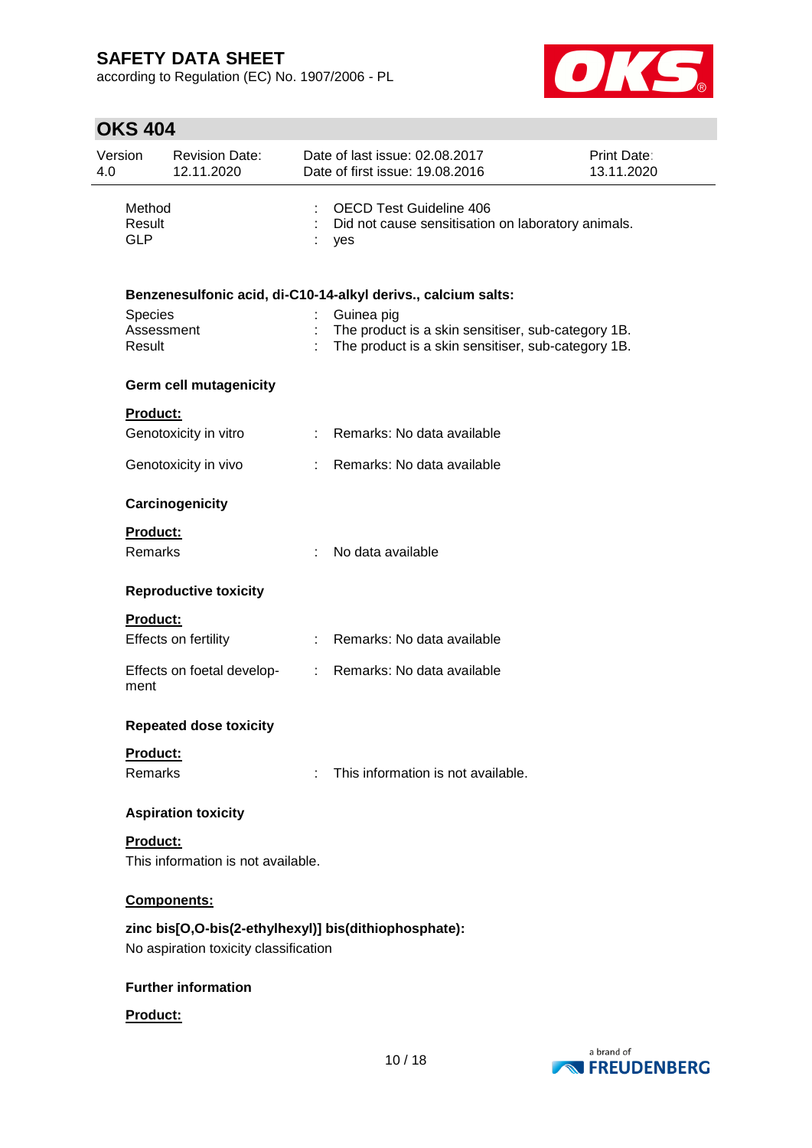according to Regulation (EC) No. 1907/2006 - PL



| Version<br>4.0 |                                 | <b>Revision Date:</b><br>12.11.2020   | Date of last issue: 02.08.2017<br>Date of first issue: 19.08.2016                                                      | Print Date:<br>13.11.2020 |
|----------------|---------------------------------|---------------------------------------|------------------------------------------------------------------------------------------------------------------------|---------------------------|
|                | Method<br>Result<br><b>GLP</b>  |                                       | <b>OECD Test Guideline 406</b><br>Did not cause sensitisation on laboratory animals.<br>yes                            |                           |
|                |                                 |                                       | Benzenesulfonic acid, di-C10-14-alkyl derivs., calcium salts:                                                          |                           |
|                | Species<br>Assessment<br>Result |                                       | Guinea pig<br>The product is a skin sensitiser, sub-category 1B.<br>The product is a skin sensitiser, sub-category 1B. |                           |
|                |                                 | <b>Germ cell mutagenicity</b>         |                                                                                                                        |                           |
|                | <b>Product:</b>                 |                                       |                                                                                                                        |                           |
|                |                                 | Genotoxicity in vitro                 | : Remarks: No data available                                                                                           |                           |
|                |                                 | Genotoxicity in vivo                  | : Remarks: No data available                                                                                           |                           |
|                |                                 | Carcinogenicity                       |                                                                                                                        |                           |
|                | <b>Product:</b>                 |                                       |                                                                                                                        |                           |
|                | <b>Remarks</b>                  |                                       | No data available                                                                                                      |                           |
|                |                                 | <b>Reproductive toxicity</b>          |                                                                                                                        |                           |
|                | <b>Product:</b>                 |                                       |                                                                                                                        |                           |
|                |                                 | Effects on fertility                  | : Remarks: No data available                                                                                           |                           |
|                | ment                            | Effects on foetal develop-            | : Remarks: No data available                                                                                           |                           |
|                |                                 | <b>Repeated dose toxicity</b>         |                                                                                                                        |                           |
|                | Product:                        |                                       |                                                                                                                        |                           |
|                | Remarks                         |                                       | This information is not available.                                                                                     |                           |
|                |                                 | <b>Aspiration toxicity</b>            |                                                                                                                        |                           |
|                | Product:                        |                                       |                                                                                                                        |                           |
|                |                                 | This information is not available.    |                                                                                                                        |                           |
|                |                                 | Components:                           |                                                                                                                        |                           |
|                |                                 | No aspiration toxicity classification | zinc bis[O,O-bis(2-ethylhexyl)] bis(dithiophosphate):                                                                  |                           |
|                |                                 | <b>Further information</b>            |                                                                                                                        |                           |
|                | Product:                        |                                       |                                                                                                                        |                           |

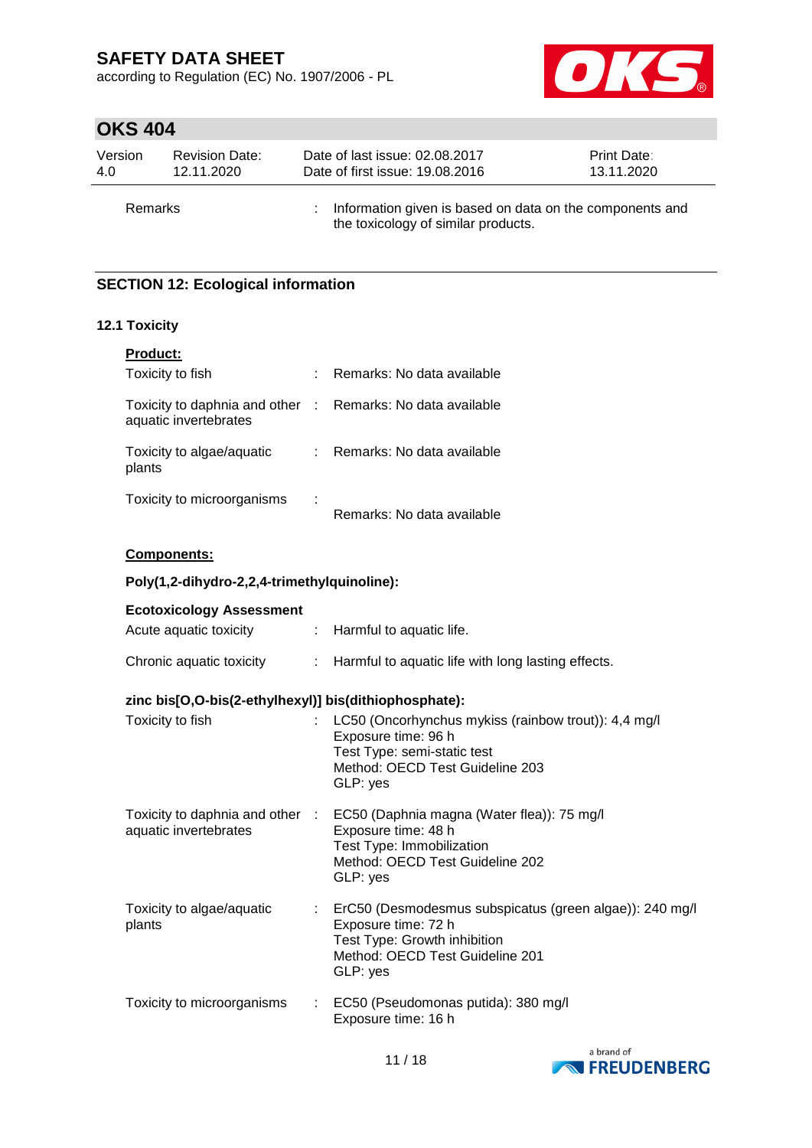according to Regulation (EC) No. 1907/2006 - PL



# **OKS 404**

| Version        | <b>Revision Date:</b> | Date of last issue: 02.08.2017                                                                  | Print Date: |
|----------------|-----------------------|-------------------------------------------------------------------------------------------------|-------------|
| 4.0            | 12.11.2020            | Date of first issue: 19.08.2016                                                                 | 13.11.2020  |
| <b>Remarks</b> |                       | Information given is based on data on the components and<br>the toxicology of similar products. |             |

### **SECTION 12: Ecological information**

### **12.1 Toxicity**

| <b>Product:</b>                                          |    |                            |
|----------------------------------------------------------|----|----------------------------|
| Toxicity to fish                                         |    | Remarks: No data available |
| Toxicity to daphnia and other :<br>aquatic invertebrates |    | Remarks: No data available |
| Toxicity to algae/aquatic<br>plants                      | t. | Remarks: No data available |
| Toxicity to microorganisms                               |    | Remarks: No data available |

### **Components:**

#### **Poly(1,2-dihydro-2,2,4-trimethylquinoline):**

| <b>Ecotoxicology Assessment</b>                       |                                                                                                                                                                               |
|-------------------------------------------------------|-------------------------------------------------------------------------------------------------------------------------------------------------------------------------------|
| Acute aquatic toxicity                                | : Harmful to aquatic life.                                                                                                                                                    |
| Chronic aquatic toxicity                              | : Harmful to aquatic life with long lasting effects.                                                                                                                          |
| zinc bis[O,O-bis(2-ethylhexyl)] bis(dithiophosphate): |                                                                                                                                                                               |
| Toxicity to fish                                      | : LC50 (Oncorhynchus mykiss (rainbow trout)): 4,4 mg/l<br>Exposure time: 96 h<br>Test Type: semi-static test<br>Method: OECD Test Guideline 203<br>GLP: yes                   |
| aquatic invertebrates                                 | Toxicity to daphnia and other : EC50 (Daphnia magna (Water flea)): 75 mg/l<br>Exposure time: 48 h<br>Test Type: Immobilization<br>Method: OECD Test Guideline 202<br>GLP: yes |
| Toxicity to algae/aquatic<br>plants                   | : ErC50 (Desmodesmus subspicatus (green algae)): 240 mg/l<br>Exposure time: 72 h<br>Test Type: Growth inhibition<br>Method: OECD Test Guideline 201<br>GLP: yes               |
| Toxicity to microorganisms                            | : EC50 (Pseudomonas putida): 380 mg/l<br>Exposure time: 16 h                                                                                                                  |

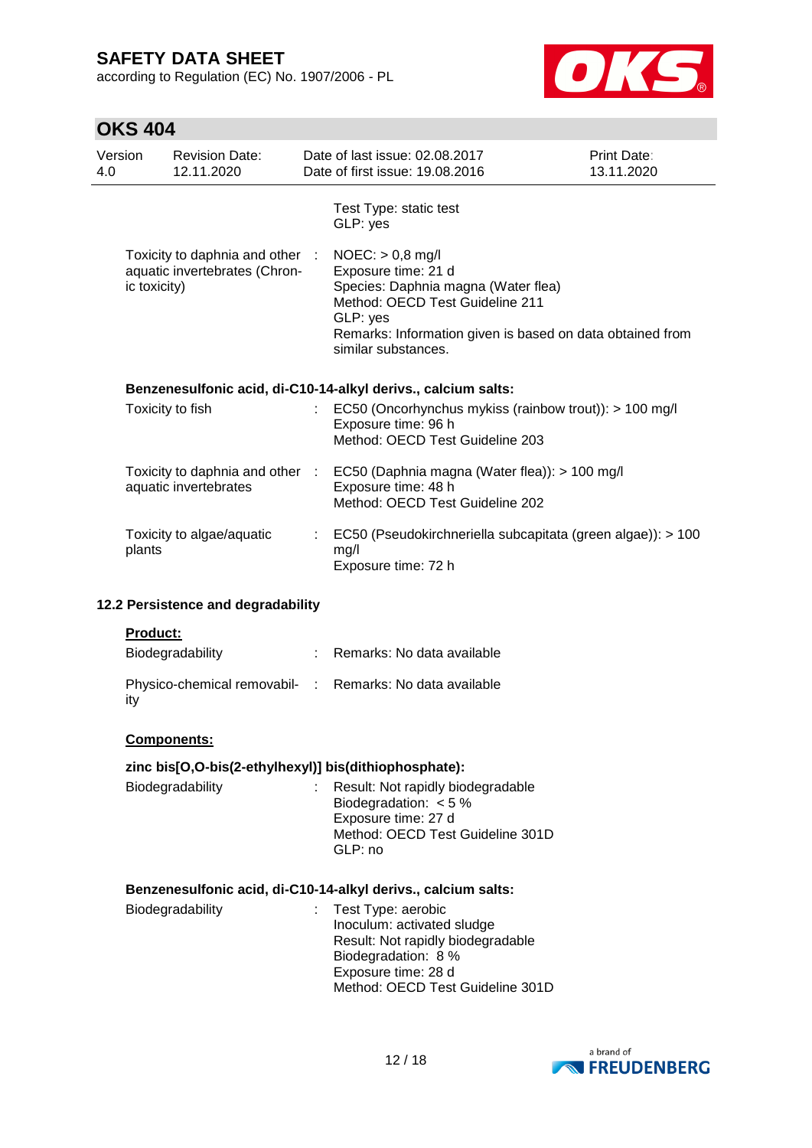according to Regulation (EC) No. 1907/2006 - PL



| Version<br>4.0 |              | <b>Revision Date:</b><br>12.11.2020                              |    | Date of last issue: 02.08.2017<br>Date of first issue: 19.08.2016                                                                                                                                                   | <b>Print Date:</b><br>13.11.2020 |
|----------------|--------------|------------------------------------------------------------------|----|---------------------------------------------------------------------------------------------------------------------------------------------------------------------------------------------------------------------|----------------------------------|
|                |              |                                                                  |    | Test Type: static test<br>GLP: yes                                                                                                                                                                                  |                                  |
|                | ic toxicity) | Toxicity to daphnia and other :<br>aquatic invertebrates (Chron- |    | $NOEC:$ > 0,8 mg/l<br>Exposure time: 21 d<br>Species: Daphnia magna (Water flea)<br>Method: OECD Test Guideline 211<br>GLP: yes<br>Remarks: Information given is based on data obtained from<br>similar substances. |                                  |
|                |              |                                                                  |    | Benzenesulfonic acid, di-C10-14-alkyl derivs., calcium salts:                                                                                                                                                       |                                  |
|                |              | Toxicity to fish                                                 |    | EC50 (Oncorhynchus mykiss (rainbow trout)): > 100 mg/l<br>Exposure time: 96 h<br>Method: OECD Test Guideline 203                                                                                                    |                                  |
|                |              | Toxicity to daphnia and other :<br>aquatic invertebrates         |    | EC50 (Daphnia magna (Water flea)): > 100 mg/l<br>Exposure time: 48 h<br>Method: OECD Test Guideline 202                                                                                                             |                                  |
|                | plants       | Toxicity to algae/aquatic                                        | t. | EC50 (Pseudokirchneriella subcapitata (green algae)): > 100<br>mg/l<br>Exposure time: 72 h                                                                                                                          |                                  |
|                |              | 12.2 Persistence and degradability                               |    |                                                                                                                                                                                                                     |                                  |
|                | Product:     |                                                                  |    |                                                                                                                                                                                                                     |                                  |
|                |              | Biodegradability                                                 |    | : Remarks: No data available                                                                                                                                                                                        |                                  |
|                | ity          |                                                                  |    | Physico-chemical removabil- : Remarks: No data available                                                                                                                                                            |                                  |
|                |              | <b>Components:</b>                                               |    |                                                                                                                                                                                                                     |                                  |
|                |              |                                                                  |    | zinc bis[O,O-bis(2-ethylhexyl)] bis(dithiophosphate):                                                                                                                                                               |                                  |
|                |              | Biodegradability                                                 |    | Result: Not rapidly biodegradable<br>Biodegradation: $< 5 \%$<br>Exposure time: 27 d<br>Method: OECD Test Guideline 301D<br>GLP: no                                                                                 |                                  |
|                |              |                                                                  |    | Benzenesulfonic acid, di-C10-14-alkyl derivs., calcium salts:                                                                                                                                                       |                                  |
|                |              | Biodegradability                                                 | t. | Test Type: aerobic<br>Inoculum: activated sludge<br>Result: Not rapidly biodegradable<br>Biodegradation: 8 %<br>Exposure time: 28 d<br>Method: OECD Test Guideline 301D                                             |                                  |

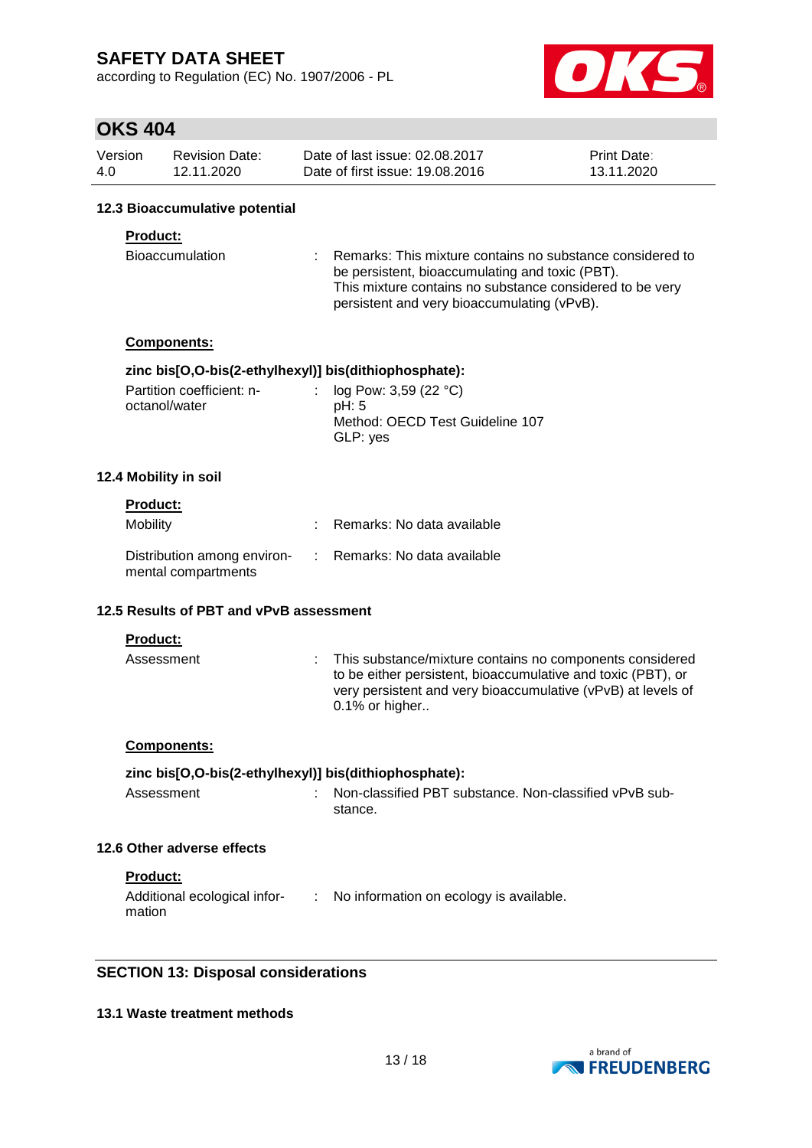according to Regulation (EC) No. 1907/2006 - PL



### **OKS 404**

| Version | <b>Revision Date:</b> | Date of last issue: 02.08.2017  | <b>Print Date:</b> |
|---------|-----------------------|---------------------------------|--------------------|
| 4.0     | 12.11.2020            | Date of first issue: 19,08,2016 | 13.11.2020         |

#### **12.3 Bioaccumulative potential**

#### **Product:**

| Bioaccumulation | : Remarks: This mixture contains no substance considered to |
|-----------------|-------------------------------------------------------------|
|                 | be persistent, bioaccumulating and toxic (PBT).             |
|                 | This mixture contains no substance considered to be very    |
|                 | persistent and very bioaccumulating (vPvB).                 |

#### **Components:**

#### **zinc bis[O,O-bis(2-ethylhexyl)] bis(dithiophosphate):**

| Partition coefficient: n- | : $log Pow: 3,59 (22 °C)$       |
|---------------------------|---------------------------------|
| octanol/water             | pH: 5                           |
|                           | Method: OECD Test Guideline 107 |
|                           | GLP: yes                        |

#### **12.4 Mobility in soil**

### **Product:**

| <b>Mobility</b>                                                                 | Remarks: No data available |
|---------------------------------------------------------------------------------|----------------------------|
| Distribution among environ- : Remarks: No data available<br>mental compartments |                            |

#### **12.5 Results of PBT and vPvB assessment**

**Product:**

| Assessment | : This substance/mixture contains no components considered<br>to be either persistent, bioaccumulative and toxic (PBT), or<br>very persistent and very bioaccumulative (vPvB) at levels of<br>$0.1\%$ or higher |
|------------|-----------------------------------------------------------------------------------------------------------------------------------------------------------------------------------------------------------------|
|            |                                                                                                                                                                                                                 |

#### **Components:**

#### **zinc bis[O,O-bis(2-ethylhexyl)] bis(dithiophosphate):**

| Assessment | : Non-classified PBT substance. Non-classified vPvB sub- |
|------------|----------------------------------------------------------|
|            | stance.                                                  |

#### **12.6 Other adverse effects**

**Product:**

| Additional ecological infor- | No information on ecology is available. |
|------------------------------|-----------------------------------------|
| mation                       |                                         |

#### **SECTION 13: Disposal considerations**

#### **13.1 Waste treatment methods**

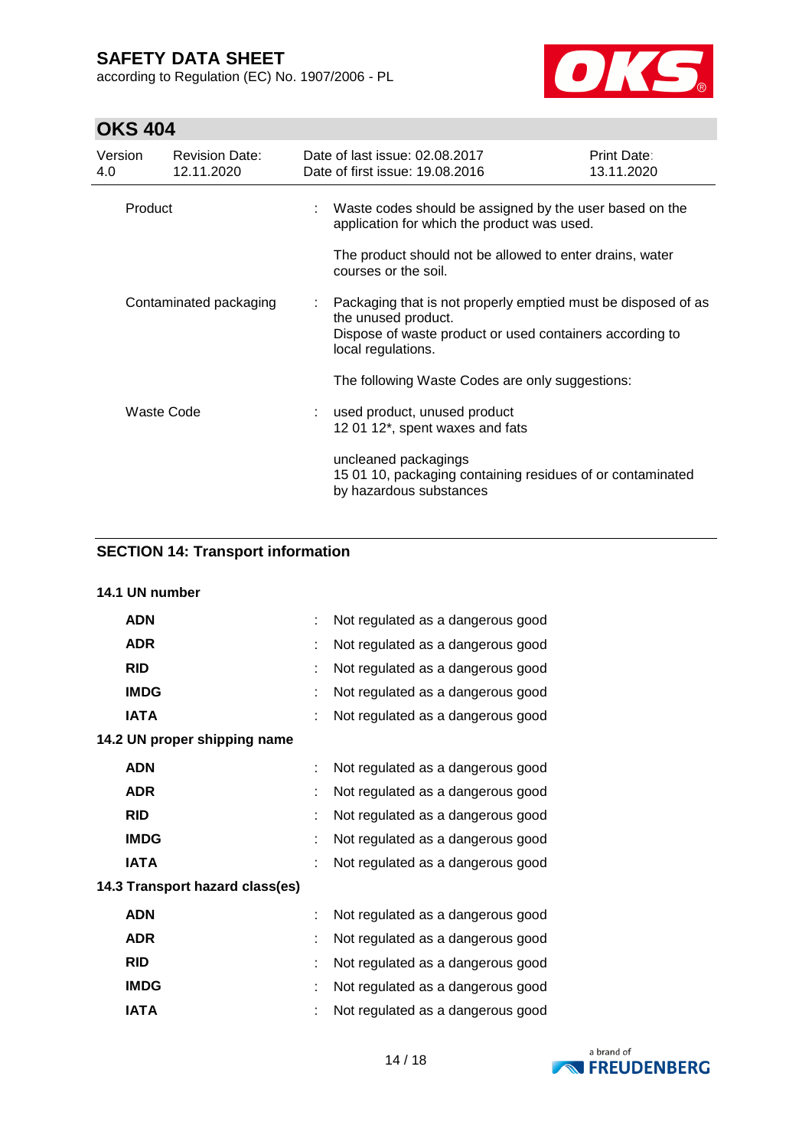according to Regulation (EC) No. 1907/2006 - PL



# **OKS 404**

| Version<br>4.0         | <b>Revision Date:</b><br>12.11.2020 | Date of last issue: 02.08.2017<br>Date of first issue: 19,08,2016                                                                                                      | Print Date:<br>13.11.2020 |
|------------------------|-------------------------------------|------------------------------------------------------------------------------------------------------------------------------------------------------------------------|---------------------------|
| Product                |                                     | : Waste codes should be assigned by the user based on the<br>application for which the product was used.<br>The product should not be allowed to enter drains, water   |                           |
|                        |                                     | courses or the soil.                                                                                                                                                   |                           |
| Contaminated packaging |                                     | Packaging that is not properly emptied must be disposed of as<br>the unused product.<br>Dispose of waste product or used containers according to<br>local regulations. |                           |
|                        |                                     | The following Waste Codes are only suggestions:                                                                                                                        |                           |
|                        | Waste Code                          | : used product, unused product<br>12 01 12*, spent waxes and fats                                                                                                      |                           |
|                        |                                     | uncleaned packagings<br>15 01 10, packaging containing residues of or contaminated<br>by hazardous substances                                                          |                           |

# **SECTION 14: Transport information**

### **14.1 UN number**

| <b>ADN</b>                      |   | Not regulated as a dangerous good |  |
|---------------------------------|---|-----------------------------------|--|
| <b>ADR</b>                      |   | Not regulated as a dangerous good |  |
| <b>RID</b>                      | t | Not regulated as a dangerous good |  |
| <b>IMDG</b>                     | ÷ | Not regulated as a dangerous good |  |
| <b>IATA</b>                     | t | Not regulated as a dangerous good |  |
| 14.2 UN proper shipping name    |   |                                   |  |
| <b>ADN</b>                      | ÷ | Not regulated as a dangerous good |  |
| <b>ADR</b>                      | ÷ | Not regulated as a dangerous good |  |
| <b>RID</b>                      |   | Not regulated as a dangerous good |  |
| <b>IMDG</b>                     | ÷ | Not regulated as a dangerous good |  |
| <b>IATA</b>                     | t | Not regulated as a dangerous good |  |
| 14.3 Transport hazard class(es) |   |                                   |  |
| <b>ADN</b>                      | t | Not regulated as a dangerous good |  |
| <b>ADR</b>                      | t | Not regulated as a dangerous good |  |
| <b>RID</b>                      | t | Not regulated as a dangerous good |  |
| <b>IMDG</b>                     |   | Not regulated as a dangerous good |  |
| IATA                            |   | Not regulated as a dangerous good |  |

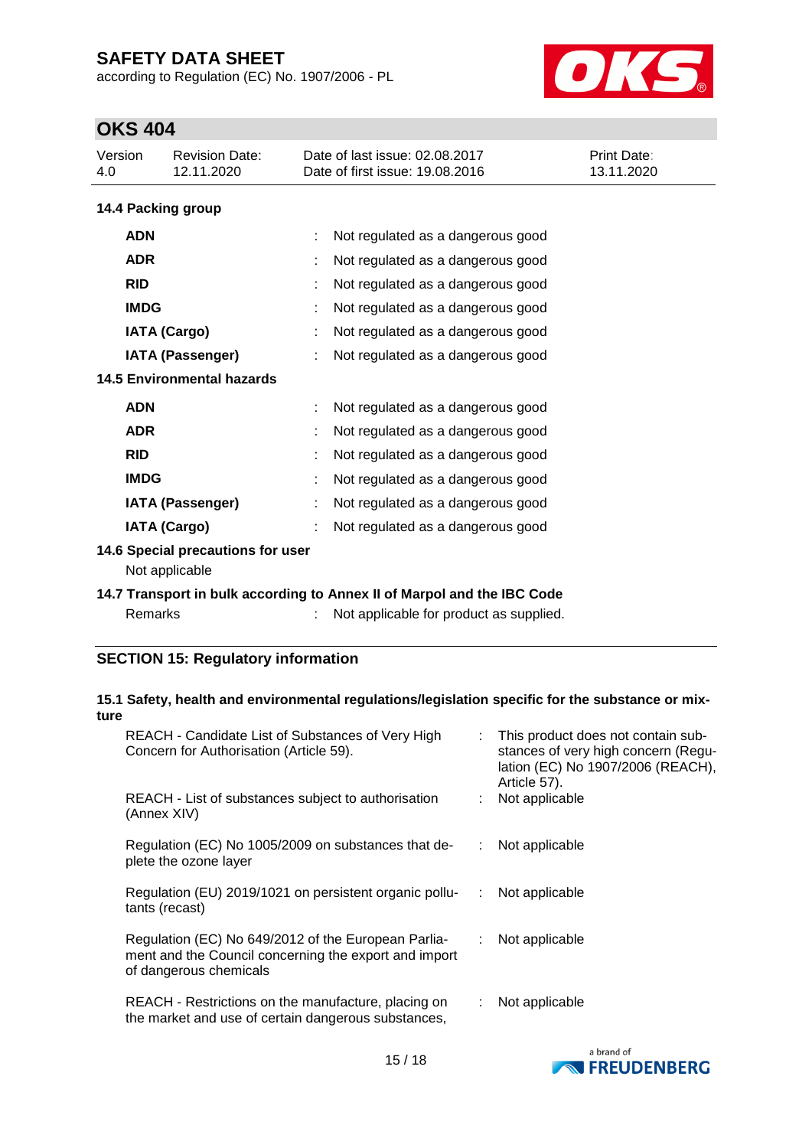according to Regulation (EC) No. 1907/2006 - PL



# **OKS 404**

| דטד טווט            |                                                                       |  |                                                                   |                                  |  |  |
|---------------------|-----------------------------------------------------------------------|--|-------------------------------------------------------------------|----------------------------------|--|--|
| Version<br>4.0      | <b>Revision Date:</b><br>12.11.2020                                   |  | Date of last issue: 02.08.2017<br>Date of first issue: 19.08.2016 | <b>Print Date:</b><br>13.11.2020 |  |  |
|                     | 14.4 Packing group                                                    |  |                                                                   |                                  |  |  |
| <b>ADN</b>          |                                                                       |  | Not regulated as a dangerous good                                 |                                  |  |  |
| <b>ADR</b>          |                                                                       |  | Not regulated as a dangerous good                                 |                                  |  |  |
| <b>RID</b>          |                                                                       |  | Not regulated as a dangerous good                                 |                                  |  |  |
| <b>IMDG</b>         |                                                                       |  | Not regulated as a dangerous good                                 |                                  |  |  |
| <b>IATA (Cargo)</b> |                                                                       |  | Not regulated as a dangerous good                                 |                                  |  |  |
|                     | <b>IATA (Passenger)</b>                                               |  | Not regulated as a dangerous good                                 |                                  |  |  |
|                     | <b>14.5 Environmental hazards</b>                                     |  |                                                                   |                                  |  |  |
| <b>ADN</b>          |                                                                       |  | Not regulated as a dangerous good                                 |                                  |  |  |
| <b>ADR</b>          |                                                                       |  | Not regulated as a dangerous good                                 |                                  |  |  |
| <b>RID</b>          |                                                                       |  | Not regulated as a dangerous good                                 |                                  |  |  |
| <b>IMDG</b>         |                                                                       |  | Not regulated as a dangerous good                                 |                                  |  |  |
|                     | <b>IATA (Passenger)</b>                                               |  | Not regulated as a dangerous good                                 |                                  |  |  |
|                     | <b>IATA (Cargo)</b>                                                   |  | Not regulated as a dangerous good                                 |                                  |  |  |
|                     | 14.6 Special precautions for user<br>Not applicable                   |  |                                                                   |                                  |  |  |
|                     | 1. Transport in bulk according to Anney II of Marnol and the IRC Code |  |                                                                   |                                  |  |  |

#### **14.7 Transport in bulk according to Annex II of Marpol and the IBC Code** Remarks : Not applicable for product as supplied.

### **SECTION 15: Regulatory information**

#### **15.1 Safety, health and environmental regulations/legislation specific for the substance or mixture**

| REACH - Candidate List of Substances of Very High<br>Concern for Authorisation (Article 59).                                           |   | : This product does not contain sub-<br>stances of very high concern (Regu-<br>lation (EC) No 1907/2006 (REACH),<br>Article 57). |
|----------------------------------------------------------------------------------------------------------------------------------------|---|----------------------------------------------------------------------------------------------------------------------------------|
| REACH - List of substances subject to authorisation<br>(Annex XIV)                                                                     |   | Not applicable                                                                                                                   |
| Regulation (EC) No 1005/2009 on substances that de-<br>plete the ozone layer                                                           |   | Not applicable                                                                                                                   |
| Regulation (EU) 2019/1021 on persistent organic pollu-<br>tants (recast)                                                               | ÷ | Not applicable                                                                                                                   |
| Regulation (EC) No 649/2012 of the European Parlia-<br>ment and the Council concerning the export and import<br>of dangerous chemicals |   | : Not applicable                                                                                                                 |
| REACH - Restrictions on the manufacture, placing on<br>the market and use of certain dangerous substances,                             |   | Not applicable                                                                                                                   |

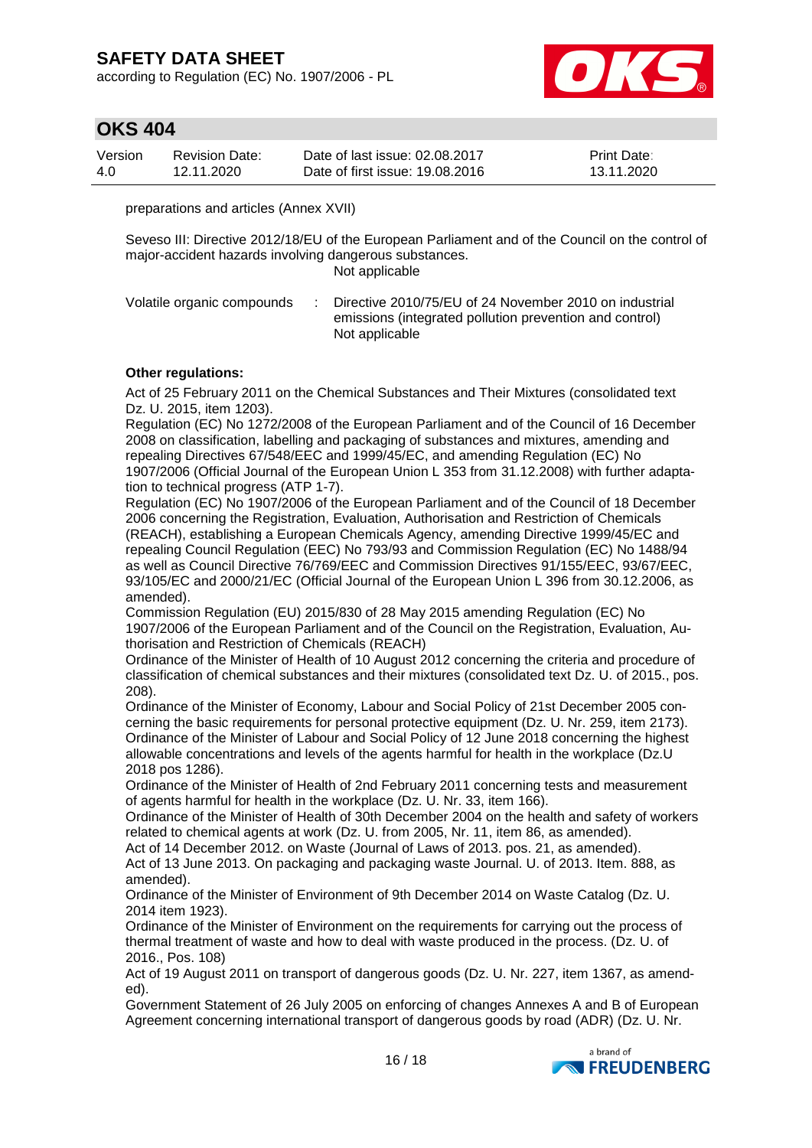according to Regulation (EC) No. 1907/2006 - PL



### **OKS 404**

| Version | Revision Date: | Date of last issue: 02.08.2017  | <b>Print Date:</b> |
|---------|----------------|---------------------------------|--------------------|
| 4.0     | 12.11.2020     | Date of first issue: 19.08.2016 | 13.11.2020         |

preparations and articles (Annex XVII)

Seveso III: Directive 2012/18/EU of the European Parliament and of the Council on the control of major-accident hazards involving dangerous substances. Not applicable

Volatile organic compounds : Directive 2010/75/EU of 24 November 2010 on industrial emissions (integrated pollution prevention and control) Not applicable

#### **Other regulations:**

Act of 25 February 2011 on the Chemical Substances and Their Mixtures (consolidated text Dz. U. 2015, item 1203).

Regulation (EC) No 1272/2008 of the European Parliament and of the Council of 16 December 2008 on classification, labelling and packaging of substances and mixtures, amending and repealing Directives 67/548/EEC and 1999/45/EC, and amending Regulation (EC) No 1907/2006 (Official Journal of the European Union L 353 from 31.12.2008) with further adaptation to technical progress (ATP 1-7).

Regulation (EC) No 1907/2006 of the European Parliament and of the Council of 18 December 2006 concerning the Registration, Evaluation, Authorisation and Restriction of Chemicals (REACH), establishing a European Chemicals Agency, amending Directive 1999/45/EC and repealing Council Regulation (EEC) No 793/93 and Commission Regulation (EC) No 1488/94 as well as Council Directive 76/769/EEC and Commission Directives 91/155/EEC, 93/67/EEC, 93/105/EC and 2000/21/EC (Official Journal of the European Union L 396 from 30.12.2006, as amended).

Commission Regulation (EU) 2015/830 of 28 May 2015 amending Regulation (EC) No 1907/2006 of the European Parliament and of the Council on the Registration, Evaluation, Authorisation and Restriction of Chemicals (REACH)

Ordinance of the Minister of Health of 10 August 2012 concerning the criteria and procedure of classification of chemical substances and their mixtures (consolidated text Dz. U. of 2015., pos. 208).

Ordinance of the Minister of Economy, Labour and Social Policy of 21st December 2005 concerning the basic requirements for personal protective equipment (Dz. U. Nr. 259, item 2173). Ordinance of the Minister of Labour and Social Policy of 12 June 2018 concerning the highest allowable concentrations and levels of the agents harmful for health in the workplace (Dz.U 2018 pos 1286).

Ordinance of the Minister of Health of 2nd February 2011 concerning tests and measurement of agents harmful for health in the workplace (Dz. U. Nr. 33, item 166).

Ordinance of the Minister of Health of 30th December 2004 on the health and safety of workers related to chemical agents at work (Dz. U. from 2005, Nr. 11, item 86, as amended).

Act of 14 December 2012. on Waste (Journal of Laws of 2013. pos. 21, as amended). Act of 13 June 2013. On packaging and packaging waste Journal. U. of 2013. Item. 888, as amended).

Ordinance of the Minister of Environment of 9th December 2014 on Waste Catalog (Dz. U. 2014 item 1923).

Ordinance of the Minister of Environment on the requirements for carrying out the process of thermal treatment of waste and how to deal with waste produced in the process. (Dz. U. of 2016., Pos. 108)

Act of 19 August 2011 on transport of dangerous goods (Dz. U. Nr. 227, item 1367, as amended).

Government Statement of 26 July 2005 on enforcing of changes Annexes A and B of European Agreement concerning international transport of dangerous goods by road (ADR) (Dz. U. Nr.

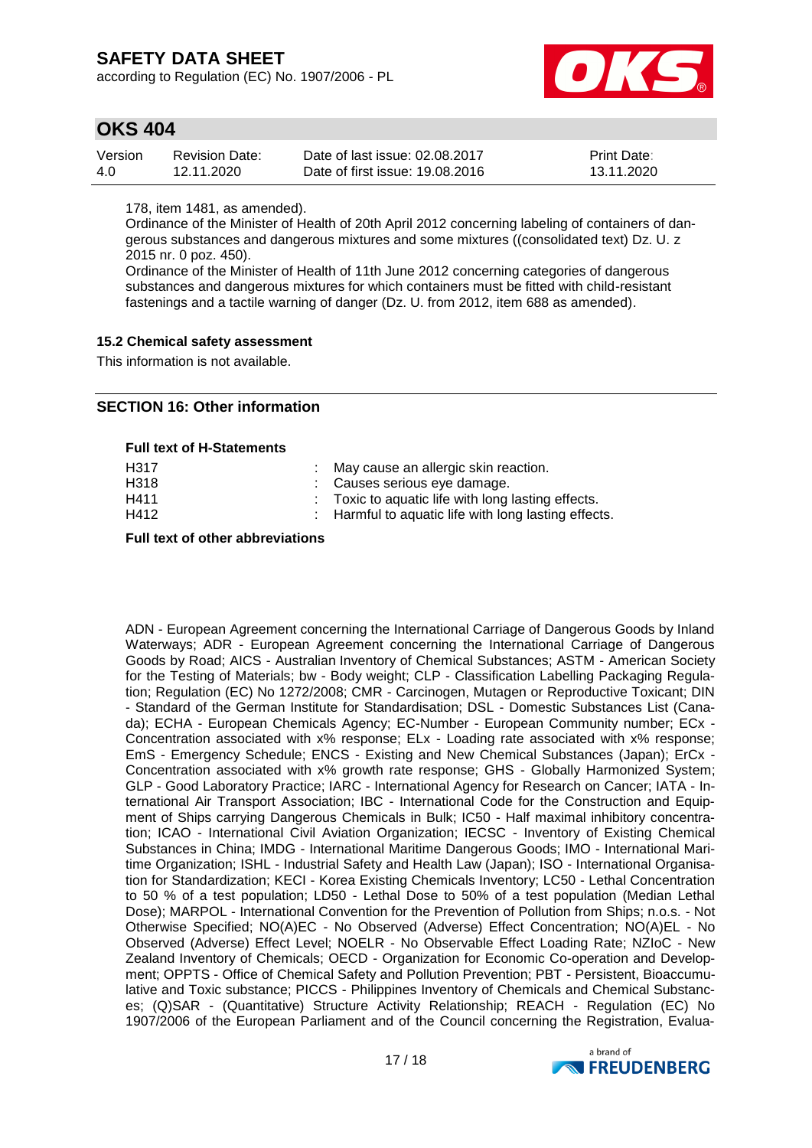according to Regulation (EC) No. 1907/2006 - PL



### **OKS 404**

| Version | Revision Date: | Date of last issue: 02.08.2017  | <b>Print Date:</b> |
|---------|----------------|---------------------------------|--------------------|
| 4.0     | 12.11.2020     | Date of first issue: 19.08.2016 | 13.11.2020         |

178, item 1481, as amended).

Ordinance of the Minister of Health of 20th April 2012 concerning labeling of containers of dangerous substances and dangerous mixtures and some mixtures ((consolidated text) Dz. U. z 2015 nr. 0 poz. 450).

Ordinance of the Minister of Health of 11th June 2012 concerning categories of dangerous substances and dangerous mixtures for which containers must be fitted with child-resistant fastenings and a tactile warning of danger (Dz. U. from 2012, item 688 as amended).

#### **15.2 Chemical safety assessment**

This information is not available.

### **SECTION 16: Other information**

#### **Full text of H-Statements**

| H317<br>H318<br>H411 | : May cause an allergic skin reaction.<br>: Causes serious eye damage.<br>: Toxic to aquatic life with long lasting effects. |
|----------------------|------------------------------------------------------------------------------------------------------------------------------|
| H412                 | : Harmful to aquatic life with long lasting effects.                                                                         |

**Full text of other abbreviations**

ADN - European Agreement concerning the International Carriage of Dangerous Goods by Inland Waterways; ADR - European Agreement concerning the International Carriage of Dangerous Goods by Road; AICS - Australian Inventory of Chemical Substances; ASTM - American Society for the Testing of Materials; bw - Body weight; CLP - Classification Labelling Packaging Regulation; Regulation (EC) No 1272/2008; CMR - Carcinogen, Mutagen or Reproductive Toxicant; DIN - Standard of the German Institute for Standardisation; DSL - Domestic Substances List (Canada); ECHA - European Chemicals Agency; EC-Number - European Community number; ECx - Concentration associated with x% response; ELx - Loading rate associated with x% response; EmS - Emergency Schedule; ENCS - Existing and New Chemical Substances (Japan); ErCx - Concentration associated with x% growth rate response; GHS - Globally Harmonized System; GLP - Good Laboratory Practice; IARC - International Agency for Research on Cancer; IATA - International Air Transport Association; IBC - International Code for the Construction and Equipment of Ships carrying Dangerous Chemicals in Bulk; IC50 - Half maximal inhibitory concentration; ICAO - International Civil Aviation Organization; IECSC - Inventory of Existing Chemical Substances in China; IMDG - International Maritime Dangerous Goods; IMO - International Maritime Organization; ISHL - Industrial Safety and Health Law (Japan); ISO - International Organisation for Standardization; KECI - Korea Existing Chemicals Inventory; LC50 - Lethal Concentration to 50 % of a test population; LD50 - Lethal Dose to 50% of a test population (Median Lethal Dose); MARPOL - International Convention for the Prevention of Pollution from Ships; n.o.s. - Not Otherwise Specified; NO(A)EC - No Observed (Adverse) Effect Concentration; NO(A)EL - No Observed (Adverse) Effect Level; NOELR - No Observable Effect Loading Rate; NZIoC - New Zealand Inventory of Chemicals; OECD - Organization for Economic Co-operation and Development; OPPTS - Office of Chemical Safety and Pollution Prevention; PBT - Persistent, Bioaccumulative and Toxic substance; PICCS - Philippines Inventory of Chemicals and Chemical Substances; (Q)SAR - (Quantitative) Structure Activity Relationship; REACH - Regulation (EC) No 1907/2006 of the European Parliament and of the Council concerning the Registration, Evalua-